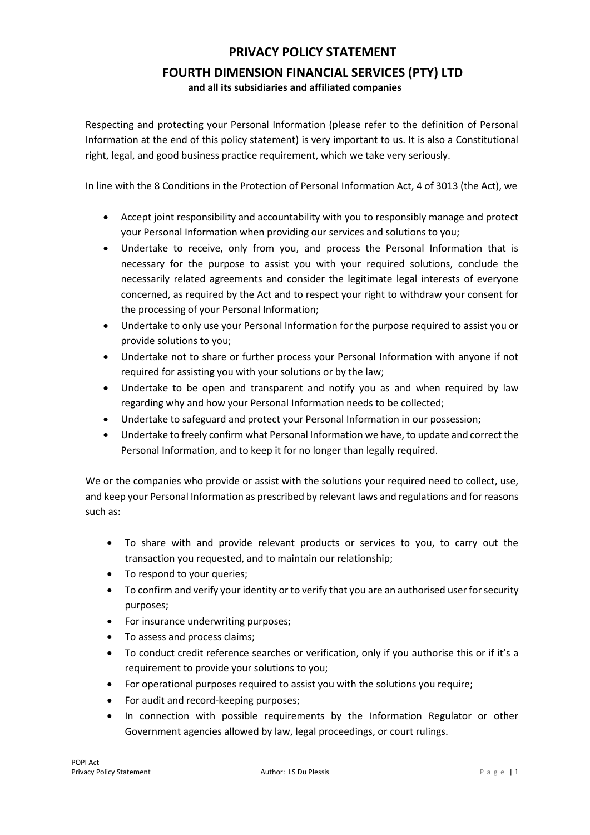## **PRIVACY POLICY STATEMENT FOURTH DIMENSION FINANCIAL SERVICES (PTY) LTD**

**and all its subsidiaries and affiliated companies** 

Respecting and protecting your Personal Information (please refer to the definition of Personal Information at the end of this policy statement) is very important to us. It is also a Constitutional right, legal, and good business practice requirement, which we take very seriously.

In line with the 8 Conditions in the Protection of Personal Information Act, 4 of 3013 (the Act), we

- Accept joint responsibility and accountability with you to responsibly manage and protect your Personal Information when providing our services and solutions to you;
- Undertake to receive, only from you, and process the Personal Information that is necessary for the purpose to assist you with your required solutions, conclude the necessarily related agreements and consider the legitimate legal interests of everyone concerned, as required by the Act and to respect your right to withdraw your consent for the processing of your Personal Information;
- Undertake to only use your Personal Information for the purpose required to assist you or provide solutions to you;
- Undertake not to share or further process your Personal Information with anyone if not required for assisting you with your solutions or by the law;
- Undertake to be open and transparent and notify you as and when required by law regarding why and how your Personal Information needs to be collected;
- Undertake to safeguard and protect your Personal Information in our possession;
- Undertake to freely confirm what Personal Information we have, to update and correct the Personal Information, and to keep it for no longer than legally required.

We or the companies who provide or assist with the solutions your required need to collect, use, and keep your Personal Information as prescribed by relevant laws and regulations and for reasons such as:

- To share with and provide relevant products or services to you, to carry out the transaction you requested, and to maintain our relationship;
- To respond to your queries;
- To confirm and verify your identity or to verify that you are an authorised user for security purposes;
- For insurance underwriting purposes;
- To assess and process claims;
- To conduct credit reference searches or verification, only if you authorise this or if it's a requirement to provide your solutions to you;
- For operational purposes required to assist you with the solutions you require;
- For audit and record-keeping purposes;
- In connection with possible requirements by the Information Regulator or other Government agencies allowed by law, legal proceedings, or court rulings.